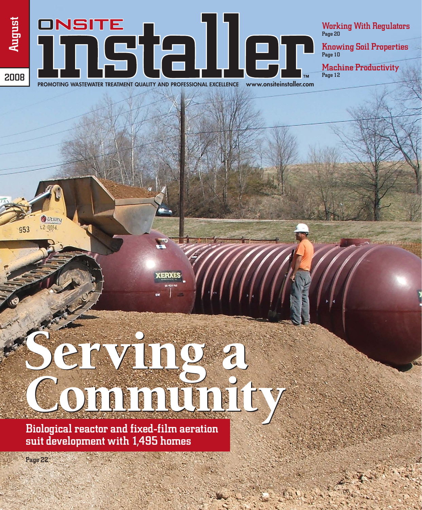## ONSITE Tinstalle) **PROMOTING WASTEWATER TREATMENT QUALITY AND PROFESSIONAL EXCELLENCE www.onsiteinstaller.com**

Working With Regulators Page 20

Knowing Soil Properties Page 10

Machine Productivity Page 12

2008

August

Biological reactor and fixed-film aeration suit development with 1,495 homes Community Community

Serving a Serving a

**XERXES** 

Page 22

Utility  $12.0014$ 

953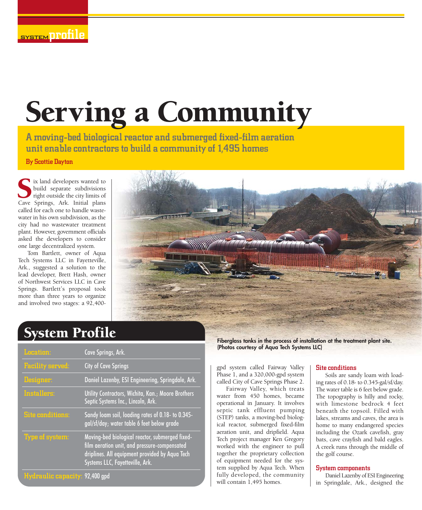# Serving a Community

A moving-bed biological reactor and submerged fixed-film aeration unit enable contractors to build a community of 1,495 homes

By Scottie Dayton

ix land developers wanted to build separate subdivisions right outside the city limits of INCRET IN THE SPRING ISLAM SURVEY OF SPRING SURVEY SURVEY SURVEY SURVEY SURVEY SPRINGS AND SURVEY SURVEY SURVEY SURVEY SURVEY SURVEY SURVEY SURVEY SURVEY SURVEY SURVEY SURVEY SURVEY SURVEY SURVEY SURVEY SURVEY SURVEY SURVE called for each one to handle wastewater in his own subdivision, as the city had no wastewater treatment plant. However, government officials asked the developers to consider one large decentralized system.

Tom Bartlett, owner of Aqua Tech Systems LLC in Fayetteville, Ark., suggested a solution to the lead developer, Brett Hash, owner of Northwest Services LLC in Cave Springs. Bartlett's proposal took more than three years to organize and involved two stages: a 92,400-



### System Profile

| <b>Location:</b>               | Cave Springs, Ark.                                                                                                                                                                   |
|--------------------------------|--------------------------------------------------------------------------------------------------------------------------------------------------------------------------------------|
| <b>Facility served:</b>        | <b>City of Cave Springs</b>                                                                                                                                                          |
| Designer:                      | Daniel Lazenby, ESI Engineering, Springdale, Ark.                                                                                                                                    |
| Installers:                    | Utility Contractors, Wichita, Kan.; Moore Brothers<br>Septic Systems Inc., Lincoln, Ark.                                                                                             |
| <b>Site conditions:</b>        | Sandy loam soil, loading rates of 0.18- to 0.345-<br>gal/sf/day; water table 6 feet below grade                                                                                      |
| <b>Type of system:</b>         | Moving-bed biological reactor, submerged fixed-<br>film aeration unit, and pressure-compensated<br>driplines. All equipment provided by Aqua Tech<br>Systems LLC, Fayetteville, Ark. |
| Hydraulic capacity: 92,400 gpd |                                                                                                                                                                                      |

**Fiberglass tanks in the process of installation at the treatment plant site. (Photos courtesy of Aqua Tech Systems LLC)**

gpd system called Fairway Valley Phase 1, and a 320,000-gpd system called City of Cave Springs Phase 2.

Fairway Valley, which treats water from 450 homes, became operational in January. It involves septic tank effluent pumping (STEP) tanks, a moving-bed biological reactor, submerged fixed-film aeration unit, and dripfield. Aqua Tech project manager Ken Gregory worked with the engineer to pull together the proprietary collection of equipment needed for the system supplied by Aqua Tech. When fully developed, the community will contain 1,495 homes.

#### Site conditions

Soils are sandy loam with loading rates of 0.18- to 0.345-gal/sf/day. The water table is 6 feet below grade. The topography is hilly and rocky, with limestone bedrock 4 feet beneath the topsoil. Filled with lakes, streams and caves, the area is home to many endangered species including the Ozark cavefish, gray bats, cave crayfish and bald eagles. A creek runs through the middle of the golf course.

#### System components

Daniel Lazenby of ESI Engineering in Springdale, Ark., designed the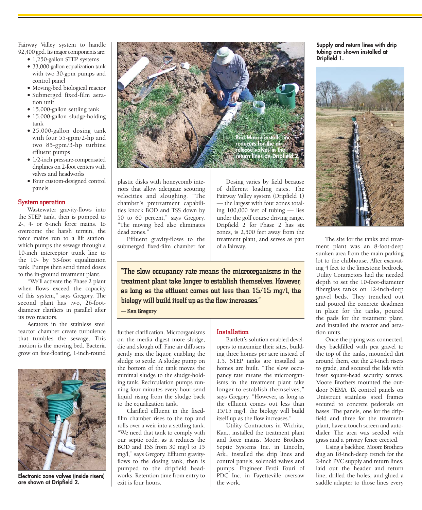Fairway Valley system to handle 92,400 gpd. Its major components are:

- 1,250-gallon STEP systems • 33,000-gallon equalization tank
- with two 30-gpm pumps and control panel
- Moving-bed biological reactor • Submerged fixed-film aera-
- tion unit
- 15,000-gallon settling tank
- 15,000-gallon sludge-holding tank
- 25,000-gallon dosing tank with four 55-gpm/2-hp and two 85-gpm/3-hp turbine effluent pumps
- 1/2-inch pressure-compensated driplines on 2-foot centers with valves and headworks
- Four custom-designed control panels

#### System operation

Wastewater gravity-flows into the STEP tank, then is pumped to 2-, 4- or 6-inch force mains. To overcome the harsh terrain, the force mains run to a lift station, which pumps the sewage through a 10-inch interceptor trunk line to the 10- by 53-foot equalization tank. Pumps then send timed doses to the in-ground treatment plant.

"We'll activate the Phase 2 plant when flows exceed the capacity of this system," says Gregory. The second plant has two, 26-footdiameter clarifiers in parallel after its two reactors.

Aerators in the stainless steel reactor chamber create turbulence that tumbles the sewage. This motion is the moving bed. Bacteria grow on free-floating, 1-inch-round



**Electronic zone valves (inside risers) are shown at Dripfield 2.**



plastic disks with honeycomb interiors that allow adequate scouring velocities and sloughing. "The chamber's pretreatment capabilities knock BOD and TSS down by 50 to 60 percent," says Gregory. "The moving bed also eliminates dead zones."

Effluent gravity-flows to the submerged fixed-film chamber for

Dosing varies by field because of different loading rates. The Fairway Valley system (Dripfield 1) — the largest with four zones totaling 100,000 feet of tubing — lies under the golf course driving range. Dripfield 2 for Phase 2 has six zones, is 2,500 feet away from the treatment plant, and serves as part of a fairway.

"The slow occupancy rate means the microorganisms in the treatment plant take longer to establish themselves. However, as long as the effluent comes out less than 15/15 mg/l, the biology will build itself up as the flow increases."

— Ken Gregory

further clarification. Microorganisms on the media digest more sludge, die and slough off. Fine air diffusers gently mix the liquor, enabling the sludge to settle. A sludge pump on the bottom of the tank moves the minimal sludge to the sludge-holding tank. Recirculation pumps running four minutes every hour send liquid rising from the sludge back to the equalization tank.

Clarified effluent in the fixedfilm chamber rises to the top and rolls over a weir into a settling tank. "We need that tank to comply with our septic code, as it reduces the BOD and TSS from 30 mg/l to 15 mg/l," says Gregory. Effluent gravityflows to the dosing tank, then is pumped to the dripfield headworks. Retention time from entry to exit is four hours.

#### Installation

Bartlett's solution enabled developers to maximize their sites, building three homes per acre instead of 1.5. STEP tanks are installed as homes are built. "The slow occupancy rate means the microorganisms in the treatment plant take longer to establish themselves," says Gregory. "However, as long as the effluent comes out less than 15/15 mg/l, the biology will build itself up as the flow increases."

Utility Contractors in Wichita, Kan., installed the treatment plant and force mains. Moore Brothers Septic Systems Inc. in Lincoln, Ark., installed the drip lines and control panels, solenoid valves and pumps. Engineer Ferdi Fouri of PDC Inc. in Fayetteville oversaw the work.

**Supply and return lines with drip tubing are shown installed at Dripfield 1.**



The site for the tanks and treatment plant was an 8-foot-deep sunken area from the main parking lot to the clubhouse. After excavating 4 feet to the limestone bedrock, Utility Contractors had the needed depth to set the 10-foot-diameter fiberglass tanks on 12-inch-deep gravel beds. They trenched out and poured the concrete deadmen in place for the tanks, poured the pads for the treatment plant, and installed the reactor and aeration units.

Once the piping was connected, they backfilled with pea gravel to the top of the tanks, mounded dirt around them, cut the 24-inch risers to grade, and secured the lids with inset square-head security screws. Moore Brothers mounted the outdoor NEMA 4X control panels on Unistruct stainless steel frames secured to concrete pedestals on bases. The panels, one for the dripfield and three for the treatment plant, have a touch screen and autodialer. The area was seeded with grass and a privacy fence erected.

Using a backhoe, Moore Brothers dug an 18-inch-deep trench for the 2-inch PVC supply and return lines, laid out the header and return line, drilled the holes, and glued a saddle adapter to those lines every